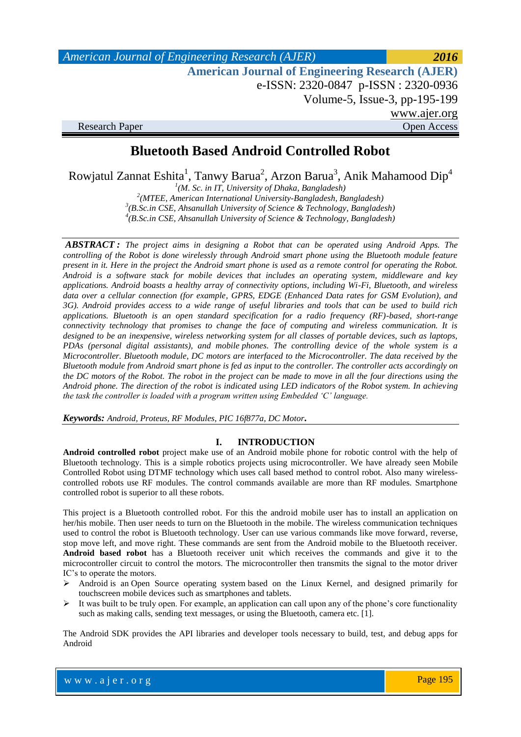| American Journal of Engineering Research (AJER)        | 2016         |
|--------------------------------------------------------|--------------|
| <b>American Journal of Engineering Research (AJER)</b> |              |
| e-ISSN: 2320-0847 p-ISSN: 2320-0936                    |              |
| Volume-5, Issue-3, pp-195-199                          |              |
|                                                        | www.ajer.org |
| <b>Research Paper</b>                                  | Open Access  |

# **Bluetooth Based Android Controlled Robot**

Rowjatul Zannat Eshita<sup>1</sup>, Tanwy Barua<sup>2</sup>, Arzon Barua<sup>3</sup>, Anik Mahamood Dip<sup>4</sup>

 *(M. Sc. in IT, University of Dhaka, Bangladesh) (MTEE, American International University-Bangladesh, Bangladesh) (B.Sc.in CSE, Ahsanullah University of Science & Technology, Bangladesh) (B.Sc.in CSE, Ahsanullah University of Science & Technology, Bangladesh)*

*ABSTRACT : The project aims in designing a Robot that can be operated using Android Apps. The controlling of the Robot is done wirelessly through Android smart phone using the Bluetooth module feature present in it. Here in the project the Android smart phone is used as a remote control for operating the Robot. Android is a software stack for mobile devices that includes an operating system, middleware and key applications. Android boasts a healthy array of connectivity options, including Wi-Fi, Bluetooth, and wireless data over a cellular connection (for example, GPRS, EDGE (Enhanced Data rates for GSM Evolution), and 3G). Android provides access to a wide range of useful libraries and tools that can be used to build rich applications. Bluetooth is an open standard specification for a radio frequency (RF)-based, short-range connectivity technology that promises to change the face of computing and wireless communication. It is designed to be an inexpensive, wireless networking system for all classes of portable devices, such as laptops, PDAs (personal digital assistants), and mobile phones. The controlling device of the whole system is a Microcontroller. Bluetooth module, DC motors are interfaced to the Microcontroller. The data received by the Bluetooth module from Android smart phone is fed as input to the controller. The controller acts accordingly on the DC motors of the Robot. The robot in the project can be made to move in all the four directions using the Android phone. The direction of the robot is indicated using LED indicators of the Robot system. In achieving the task the controller is loaded with a program written using Embedded 'C' language.*

*Keywords: Android, Proteus, RF Modules, PIC 16f877a, DC Motor.*

### **I. INTRODUCTION**

**Android controlled robot** project make use of an Android mobile phone for robotic control with the help of Bluetooth technology. This is a simple robotics projects using microcontroller. We have already seen Mobile Controlled Robot using DTMF technology which uses call based method to control robot. Also many wirelesscontrolled robots use RF modules. The control commands available are more than RF modules. Smartphone controlled robot is superior to all these robots.

This project is a Bluetooth controlled robot. For this the android mobile user has to install an application on her/his mobile. Then user needs to turn on the Bluetooth in the mobile. The wireless communication techniques used to control the robot is Bluetooth technology. User can use various commands like move forward, reverse, stop move left, and move right. These commands are sent from the Android mobile to the Bluetooth receiver. **Android based robot** has a Bluetooth receiver unit which receives the commands and give it to the microcontroller circuit to control the motors. The microcontroller then transmits the signal to the motor driver IC's to operate the motors.

- $\triangleright$  Android is an Open Source operating system based on the Linux Kernel, and designed primarily for touchscreen mobile devices such as smartphones and tablets.
- $\triangleright$  It was built to be truly open. For example, an application can call upon any of the phone's core functionality such as making calls, sending text messages, or using the Bluetooth, camera etc. [1].

The Android SDK provides the API libraries and developer tools necessary to build, test, and debug apps for Android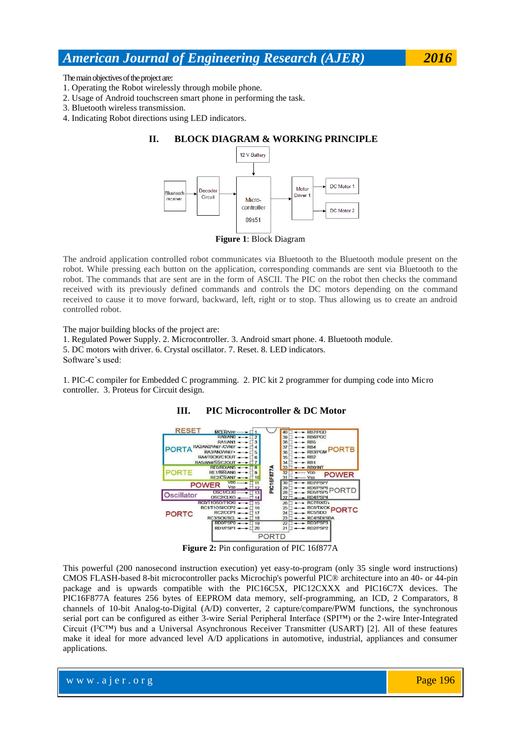The main objectives of the project are:

- 1. Operating the Robot wirelessly through mobile phone.
- 2. Usage of Android touchscreen smart phone in performing the task.
- 3. Bluetooth wireless transmission.
- 4. Indicating Robot directions using LED indicators.

# **II. BLOCK DIAGRAM & WORKING PRINCIPLE**



**Figure 1**: Block Diagram

The android application controlled robot communicates via Bluetooth to the Bluetooth module present on the robot. While pressing each button on the application, corresponding commands are sent via Bluetooth to the robot. The commands that are sent are in the form of ASCII. The PIC on the robot then checks the command received with its previously defined commands and controls the DC motors depending on the command received to cause it to move forward, backward, left, right or to stop. Thus allowing us to create an android controlled robot.

The major building blocks of the project are:

1. Regulated Power Supply. 2. Microcontroller. 3. Android smart phone. 4. Bluetooth module.

5. DC motors with driver. 6. Crystal oscillator. 7. Reset. 8. LED indicators.

Software's used:

1. PIC-C compiler for Embedded C programming. 2. PIC kit 2 programmer for dumping code into Micro controller. 3. Proteus for Circuit design.



### **III. PIC Microcontroller & DC Motor**

**Figure 2:** Pin configuration of PIC 16f877A

This powerful (200 nanosecond instruction execution) yet easy-to-program (only 35 single word instructions) CMOS FLASH-based 8-bit microcontroller packs Microchip's powerful PIC® architecture into an 40- or 44-pin package and is upwards compatible with the PIC16C5X, PIC12CXXX and PIC16C7X devices. The PIC16F877A features 256 bytes of EEPROM data memory, self-programming, an ICD, 2 Comparators, 8 channels of 10-bit Analog-to-Digital (A/D) converter, 2 capture/compare/PWM functions, the synchronous serial port can be configured as either 3-wire Serial Peripheral Interface (SPI™) or the 2-wire Inter-Integrated Circuit (I²C™) bus and a Universal Asynchronous Receiver Transmitter (USART) [2]. All of these features make it ideal for more advanced level A/D applications in automotive, industrial, appliances and consumer applications.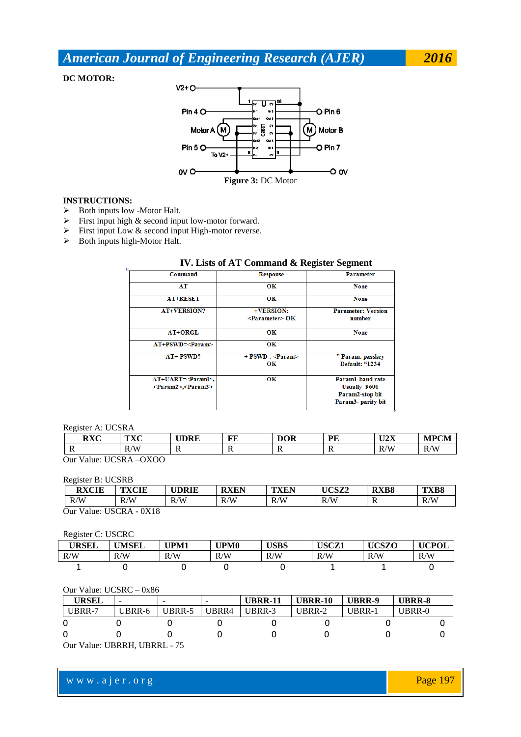**DC MOTOR:**



### **INSTRUCTIONS:**

- $\triangleright$  Both inputs low -Motor Halt.
- $\triangleright$  First input high & second input low-motor forward.
- $\triangleright$  First input Low & second input High-motor reverse.
- $\triangleright$  Both inputs high-Motor Halt.

### **IV. Lists of AT Command & Register Segment**

| IV. LASS OF A L'OMMANG & Register Segment |                             |                           |  |  |  |  |
|-------------------------------------------|-----------------------------|---------------------------|--|--|--|--|
| Command                                   | <b>Response</b>             | <b>Parameter</b>          |  |  |  |  |
| AT                                        | OК                          | <b>None</b>               |  |  |  |  |
| <b>AT+RESET</b>                           | OК                          | <b>None</b>               |  |  |  |  |
| <b>AT+VERSION?</b>                        | +VERSION:                   | <b>Parameter: Version</b> |  |  |  |  |
|                                           | $\leq$ Parameter $\geq$ OK  | number                    |  |  |  |  |
| AT+ORGL                                   | OK                          | <b>None</b>               |  |  |  |  |
| $AT+PSWD=$                                | OК                          |                           |  |  |  |  |
| $AT+$ PSWD?                               | $+$ PSWD : $\langle$ Param> | " Param: passkey          |  |  |  |  |
|                                           | OК                          | Default: "1234            |  |  |  |  |
| $AT+UART=<>Param1>$ ,                     | OК                          | Paraml-baud rate          |  |  |  |  |
| $\langle$ Param2>, $\langle$ Param3>      |                             | <b>Usually 9600</b>       |  |  |  |  |
|                                           |                             | Param2-stop bit           |  |  |  |  |
|                                           |                             | Param3- parity bit        |  |  |  |  |

#### Register A: UCSRA

| $\mathbf{D}\mathbf{V}\mathbf{C}$<br>rat       | TNTO<br>1 A U<br>$\sim$ | <b>UDRE</b>             | FE | <b>DOR</b><br>$\sim$    | ÐЕ<br>л. | <b>TIAV</b><br>◡▵◭ | APCM |
|-----------------------------------------------|-------------------------|-------------------------|----|-------------------------|----------|--------------------|------|
| $\overline{\mathbf{r}}$                       | R/W<br>1v               | $\overline{\mathbf{v}}$ |    | $\overline{\mathbf{v}}$ | -18      | R/M<br>1V          | R/W  |
| $\alpha$<br>T <sub>LO</sub> CD<br>$\sim$<br>. |                         |                         |    |                         |          |                    |      |

Our Value: UCSRA –OXOO

### Register B: UCSRB

| <b>RXCIE</b>                | <b>TXCIE</b> | <b>UDRIE</b> | <b>RXEN</b> | <b>TXEN</b> | UCSZ2 | <b>RXB8</b> | <b>TXB8</b> |
|-----------------------------|--------------|--------------|-------------|-------------|-------|-------------|-------------|
| R/W                         | R/W<br>K/    | R/W          | R/W         | R/W         | R/W   | v           | R/W         |
| $-0X18$<br>Our Value: USCRA |              |              |             |             |       |             |             |

### Register C: USCRC

| <b>URSEL</b> | <b>UMSEL</b> | UPM1 | UPM0      | <b>USBS</b> | USCZ1 | <b>UCSZO</b> | <b>UCPOL</b> |
|--------------|--------------|------|-----------|-------------|-------|--------------|--------------|
| R/W          | R/W          | R/W  | R/W<br>N. | R/W         | R/W   | R/W          | R/W          |
|              |              |      |           |             |       |              |              |

### Our Value: UCSRC – 0x86

| <b>URSEL</b>                            |        |        |       | <b>UBRR-11</b> | <b>UBRR-10</b> | UBRR-9 | UBRR-8 |  |  |
|-----------------------------------------|--------|--------|-------|----------------|----------------|--------|--------|--|--|
| UBRR-7                                  | UBRR-6 | UBRR-5 | UBRR4 | UBRR-3         | UBRR-2         | UBRR-1 | UBRR-0 |  |  |
|                                         |        |        |       |                |                |        |        |  |  |
|                                         |        |        |       |                |                |        |        |  |  |
| $\Omega_{\rm nr}$ Value: HRDDH HRDDI 75 |        |        |       |                |                |        |        |  |  |

Our Value: UBRRH, UBRRL - 75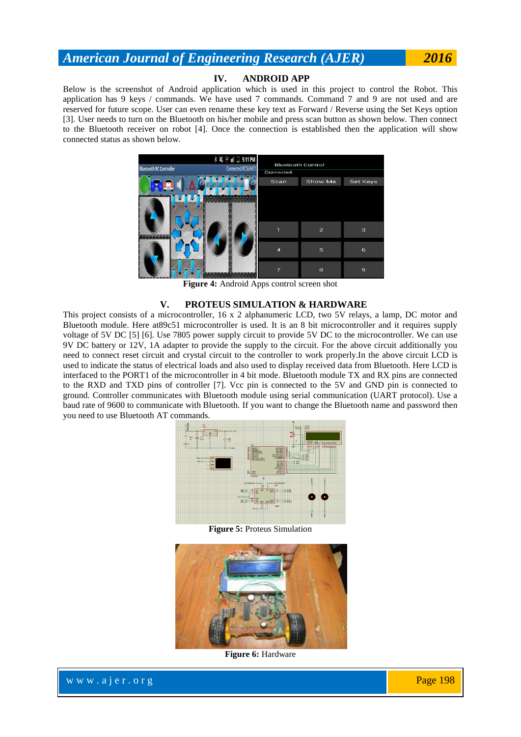## **IV. ANDROID APP**

Below is the screenshot of Android application which is used in this project to control the Robot. This application has 9 keys / commands. We have used 7 commands. Command 7 and 9 are not used and are reserved for future scope. User can even rename these key text as Forward / Reverse using the Set Keys option [3]. User needs to turn on the Bluetooth on his/her mobile and press scan button as shown below. Then connect to the Bluetooth receiver on robot [4]. Once the connection is established then the application will show connected status as shown below.



**Figure 4:** Android Apps control screen shot

#### **V. PROTEUS SIMULATION & HARDWARE**

This project consists of a microcontroller, 16 x 2 alphanumeric LCD, two 5V relays, a lamp, DC motor and Bluetooth module. Here at89c51 microcontroller is used. It is an 8 bit microcontroller and it requires supply voltage of 5V DC [5] [6]. Use 7805 power supply circuit to provide 5V DC to the microcontroller. We can use 9V DC battery or 12V, 1A adapter to provide the supply to the circuit. For the above circuit additionally you need to connect reset circuit and crystal circuit to the controller to work properly.In the above circuit LCD is used to indicate the status of electrical loads and also used to display received data from Bluetooth. Here LCD is interfaced to the PORT1 of the microcontroller in 4 bit mode. Bluetooth module TX and RX pins are connected to the RXD and TXD pins of controller [7]. Vcc pin is connected to the 5V and GND pin is connected to ground. Controller communicates with Bluetooth module using serial communication (UART protocol). Use a baud rate of 9600 to communicate with Bluetooth. If you want to change the Bluetooth name and password then you need to use Bluetooth AT commands.



**Figure 5:** Proteus Simulation



**Figure 6:** Hardware